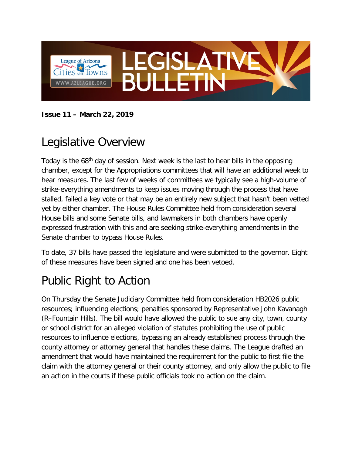

**Issue 11 – March 22, 2019**

### Legislative Overview

Today is the 68<sup>th</sup> day of session. Next week is the last to hear bills in the opposing chamber, except for the Appropriations committees that will have an additional week to hear measures. The last few of weeks of committees we typically see a high-volume of strike-everything amendments to keep issues moving through the process that have stalled, failed a key vote or that may be an entirely new subject that hasn't been vetted yet by either chamber. The House Rules Committee held from consideration several House bills and some Senate bills, and lawmakers in both chambers have openly expressed frustration with this and are seeking strike-everything amendments in the Senate chamber to bypass House Rules.

To date, 37 bills have passed the legislature and were submitted to the governor. Eight of these measures have been signed and one has been vetoed.

# Public Right to Action

On Thursday the Senate Judiciary Committee held from consideration HB2026 public resources; influencing elections; penalties sponsored by Representative John Kavanagh (R–Fountain Hills). The bill would have allowed the public to sue any city, town, county or school district for an alleged violation of statutes prohibiting the use of public resources to influence elections, bypassing an already established process through the county attorney or attorney general that handles these claims. The League drafted an amendment that would have maintained the requirement for the public to first file the claim with the attorney general or their county attorney, and only allow the public to file an action in the courts if these public officials took no action on the claim.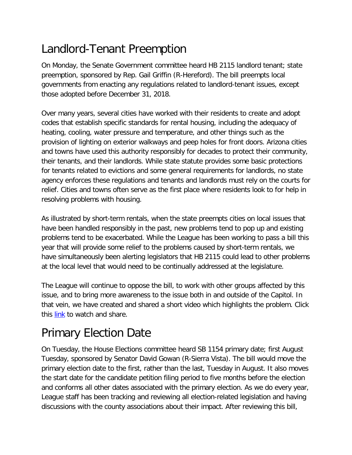### Landlord-Tenant Preemption

On Monday, the Senate Government committee heard HB 2115 landlord tenant; state preemption, sponsored by Rep. Gail Griffin (R-Hereford). The bill preempts local governments from enacting any regulations related to landlord-tenant issues, except those adopted before December 31, 2018.

Over many years, several cities have worked with their residents to create and adopt codes that establish specific standards for rental housing, including the adequacy of heating, cooling, water pressure and temperature, and other things such as the provision of lighting on exterior walkways and peep holes for front doors. Arizona cities and towns have used this authority responsibly for decades to protect their community, their tenants, and their landlords. While state statute provides some basic protections for tenants related to evictions and some general requirements for landlords, no state agency enforces these regulations and tenants and landlords must rely on the courts for relief. Cities and towns often serve as the first place where residents look to for help in resolving problems with housing.

As illustrated by short-term rentals, when the state preempts cities on local issues that have been handled responsibly in the past, new problems tend to pop up and existing problems tend to be exacerbated. While the League has been working to pass a bill this year that will provide some relief to the problems caused by short-term rentals, we have simultaneously been alerting legislators that HB 2115 could lead to other problems at the local level that would need to be continually addressed at the legislature.

The League will continue to oppose the bill, to work with other groups affected by this issue, and to bring more awareness to the issue both in and outside of the Capitol. In that vein, we have created and shared a short video which highlights the problem. Click this [link](https://twitter.com/AzCities/status/1107733530602291201) to watch and share.

# Primary Election Date

On Tuesday, the House Elections committee heard SB 1154 primary date; first August Tuesday, sponsored by Senator David Gowan (R-Sierra Vista). The bill would move the primary election date to the first, rather than the last, Tuesday in August. It also moves the start date for the candidate petition filing period to five months before the election and conforms all other dates associated with the primary election. As we do every year, League staff has been tracking and reviewing all election-related legislation and having discussions with the county associations about their impact. After reviewing this bill,